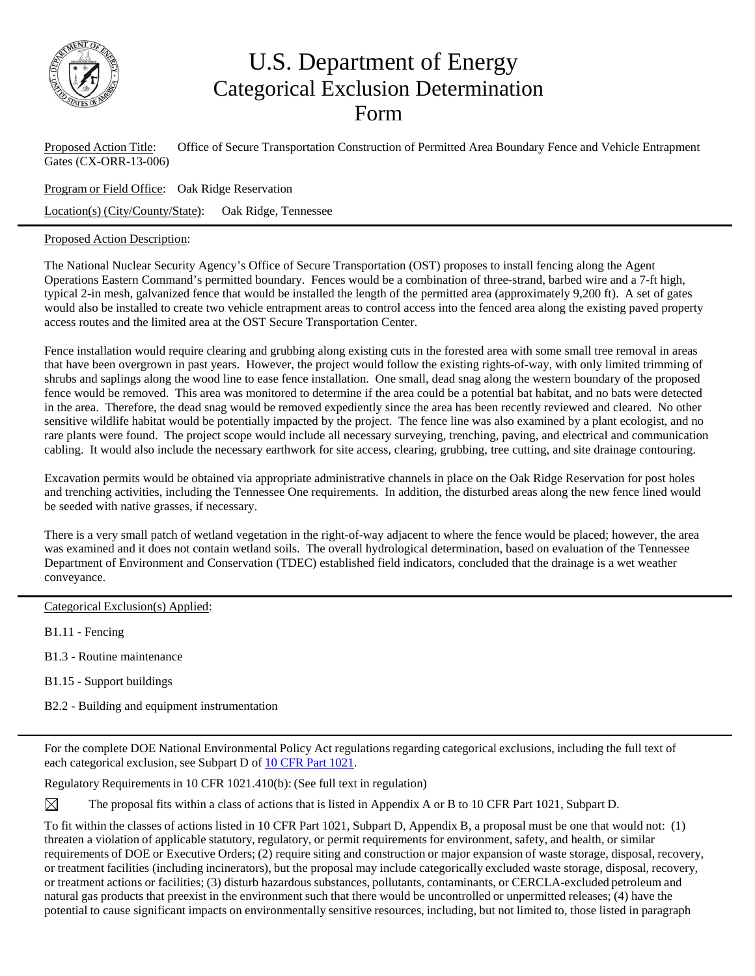

## U.S. Department of Energy Categorical Exclusion Determination Form

Proposed Action Title: Office of Secure Transportation Construction of Permitted Area Boundary Fence and Vehicle Entrapment Gates (CX-ORR-13-006)

Program or Field Office: Oak Ridge Reservation

Location(s) (City/County/State): Oak Ridge, Tennessee

## Proposed Action Description:

The National Nuclear Security Agency's Office of Secure Transportation (OST) proposes to install fencing along the Agent Operations Eastern Command's permitted boundary. Fences would be a combination of three-strand, barbed wire and a 7-ft high, typical 2-in mesh, galvanized fence that would be installed the length of the permitted area (approximately 9,200 ft). A set of gates would also be installed to create two vehicle entrapment areas to control access into the fenced area along the existing paved property access routes and the limited area at the OST Secure Transportation Center.

Fence installation would require clearing and grubbing along existing cuts in the forested area with some small tree removal in areas that have been overgrown in past years. However, the project would follow the existing rights-of-way, with only limited trimming of shrubs and saplings along the wood line to ease fence installation. One small, dead snag along the western boundary of the proposed fence would be removed. This area was monitored to determine if the area could be a potential bat habitat, and no bats were detected in the area. Therefore, the dead snag would be removed expediently since the area has been recently reviewed and cleared. No other sensitive wildlife habitat would be potentially impacted by the project. The fence line was also examined by a plant ecologist, and no rare plants were found. The project scope would include all necessary surveying, trenching, paving, and electrical and communication cabling. It would also include the necessary earthwork for site access, clearing, grubbing, tree cutting, and site drainage contouring.

Excavation permits would be obtained via appropriate administrative channels in place on the Oak Ridge Reservation for post holes and trenching activities, including the Tennessee One requirements. In addition, the disturbed areas along the new fence lined would be seeded with native grasses, if necessary.

There is a very small patch of wetland vegetation in the right-of-way adjacent to where the fence would be placed; however, the area was examined and it does not contain wetland soils. The overall hydrological determination, based on evaluation of the Tennessee Department of Environment and Conservation (TDEC) established field indicators, concluded that the drainage is a wet weather conveyance.

Categorical Exclusion(s) Applied:

B1.11 - Fencing

B1.3 - Routine maintenance

B1.15 - Support buildings

B2.2 - Building and equipment instrumentation

For the complete DOE National Environmental Policy Act regulations regarding categorical exclusions, including the full text of each categorical exclusion, see Subpart D of 10 CFR Part 1021.

Regulatory Requirements in 10 CFR 1021.410(b): (See full text in regulation)

The proposal fits within a class of actions that is listed in Appendix A or B to 10 CFR Part 1021, Subpart D.

To fit within the classes of actions listed in 10 CFR Part 1021, Subpart D, Appendix B, a proposal must be one that would not: (1) threaten a violation of applicable statutory, regulatory, or permit requirements for environment, safety, and health, or similar requirements of DOE or Executive Orders; (2) require siting and construction or major expansion of waste storage, disposal, recovery, or treatment facilities (including incinerators), but the proposal may include categorically excluded waste storage, disposal, recovery, or treatment actions or facilities; (3) disturb hazardous substances, pollutants, contaminants, or CERCLA-excluded petroleum and natural gas products that preexist in the environment such that there would be uncontrolled or unpermitted releases; (4) have the potential to cause significant impacts on environmentally sensitive resources, including, but not limited to, those listed in paragraph